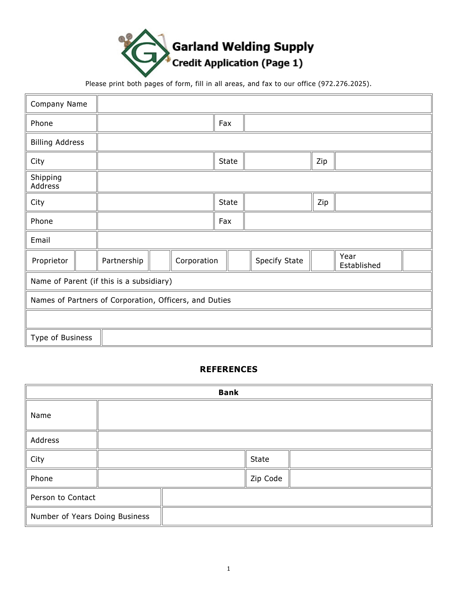

Please print both pages of form, fill in all areas, and fax to our office (972.276.2025).

| Company Name                                           |  |             |  |             |     |     |               |  |                     |  |  |
|--------------------------------------------------------|--|-------------|--|-------------|-----|-----|---------------|--|---------------------|--|--|
| Phone                                                  |  |             |  |             | Fax |     |               |  |                     |  |  |
| <b>Billing Address</b>                                 |  |             |  |             |     |     |               |  |                     |  |  |
| City                                                   |  |             |  | State       |     | Zip |               |  |                     |  |  |
| Shipping<br>Address                                    |  |             |  |             |     |     |               |  |                     |  |  |
| City                                                   |  |             |  | State       |     | Zip |               |  |                     |  |  |
| Phone                                                  |  |             |  | Fax         |     |     |               |  |                     |  |  |
| Email                                                  |  |             |  |             |     |     |               |  |                     |  |  |
| Proprietor                                             |  | Partnership |  | Corporation |     |     | Specify State |  | Year<br>Established |  |  |
| Name of Parent (if this is a subsidiary)               |  |             |  |             |     |     |               |  |                     |  |  |
| Names of Partners of Corporation, Officers, and Duties |  |             |  |             |     |     |               |  |                     |  |  |
|                                                        |  |             |  |             |     |     |               |  |                     |  |  |
| Type of Business                                       |  |             |  |             |     |     |               |  |                     |  |  |

## **REFERENCES**

| <b>Bank</b>                    |  |  |          |  |  |
|--------------------------------|--|--|----------|--|--|
| Name                           |  |  |          |  |  |
| Address                        |  |  |          |  |  |
| City                           |  |  | State    |  |  |
| Phone                          |  |  | Zip Code |  |  |
| Person to Contact              |  |  |          |  |  |
| Number of Years Doing Business |  |  |          |  |  |